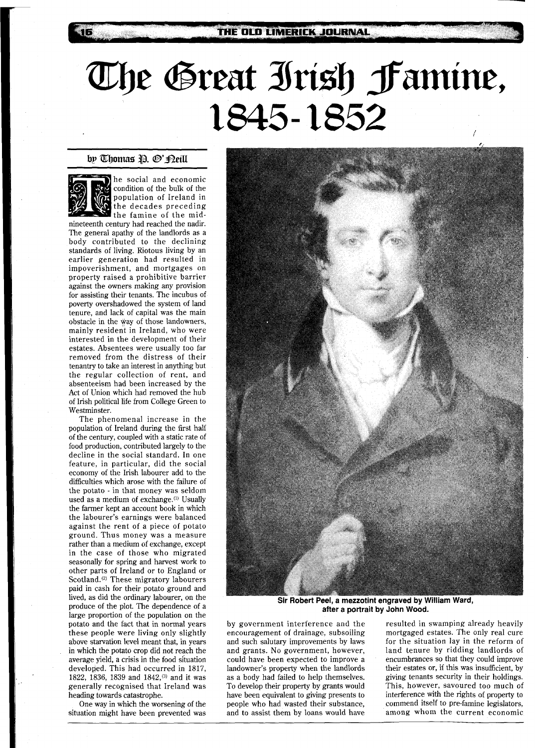## The Great Irish Famine, 1845-1852

## by *Chomas P. ®' Peill*



he social and economic condition of the bulk of the population of Ireland in the decades preceding the famine of the mid-

nineteenth century had reached the nadir. The general apathy of the landlords as a body contributed to the declining standards of living. Riotous living by an earlier generation had resulted in impoverishment, and mortgages on property raised a prohibitive barrier against the owners making any provision for assisting their tenants. The incubus of poverty overshadowed the system of land tenure, and lack of capital was the main obstacle in the way of those landowners, mainly resident in Ireland, who were interested in the development of their estates. Absentees were usually too far removed from the distress of their tenantry to take an interest in anything but the regular collection of rent, and absenteeism had been increased by the Act of Union which had removed the hub of Irish political life from College Green to Westminster.

The phenomenal increase in the population of Ireland during the first half of the century, coupled with a static rate of food production, contributed largely to the decline in the social standard. In one feature, in particular, did the social economy of the Irish labourer add to the difficulties which arose with the failure of the potato - in that money was seldom used as a medium of exchange.<sup>(1)</sup> Usually the farmer kept an account book in which the labourer's earnings were balanced against the rent of a piece of potato ground. Thus money was a measure rather than a medium of exchange, except in the case of those who migrated seasonally for spring and harvest work to other parts of Ireland or to England or Scotland.<sup>(2)</sup> These migratory labourers paid in cash for their potato ground and lived, as did the ordinary labourer, on the produce of the plot. The dependence of a large proportion of the population on the potato and the fact that in normal years these people were living only slightly above starvation level meant that, in years<br>in which the potato crop did not reach the<br>average yield, a crisis in the food situation in which the potato crop did not reach the developed. This had occurred in 1817, 1822, 1836, 1839 and 1842, (3) and it was generally recognised that Ireland was heading towards catastrophe.

> One way in which the worsening of the situation might have been prevented was



**after a portrait by John Wood.** 

by government interference and the encouragement of drainage, subsoiling and such salutary improvements by laws and grants. No government, however, could have been expected to improve a landowner's property when the landlords as a body had failed to help themselves. To develop their property by grants would have been equivalent to giving presents to people who had wasted their substance, and to assist them by loans would have resulted in swamping already heavily mortgaged estates. The only real cure for the situation lay in the reform of land tenure by ridding landlords of encumbrances so that they could improve their estates or, if this was insufficient, by giving tenants security in their holdings. This, however, savoured too much of interference with the rights of property to commend itself to pre-famine legislators, among whom the current economic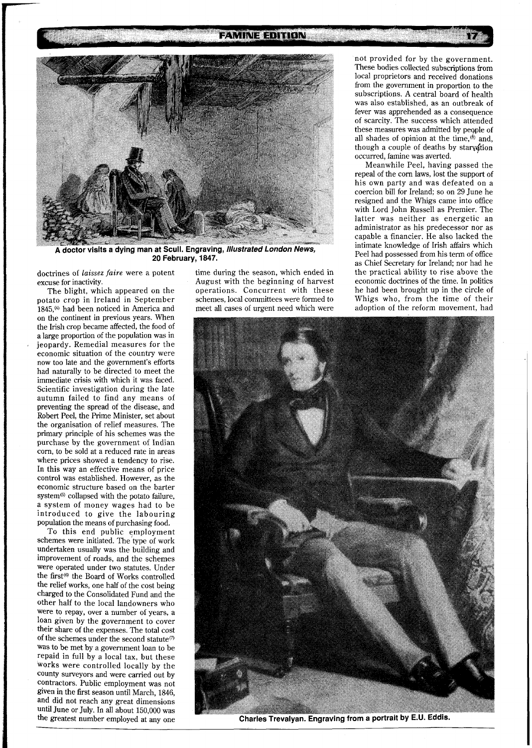## **FAMINE EDITION**



**~ldoctor visits a dying man at Scull. Engraving, Illustrated London News, 20 February, 1847.** 

doctrines of *laissez faire* were a potent excuse for inactivity.

The blight, which appeared on the potato crop in Ireland in September **1845,("** had been noticed in America and on the continent in previous years. When the Irish crop became affected, the food of a large proportion of the population was in jeopardy. Remedial measures for the economic situation of the country were now too late and the government's efforts had naturally to be directed to meet the immediate crisis with which it was faced. Scientific investigation during the late autumn failed to find any means of preventing the spread of the disease, and Robert Peel, the Prime Minister, set about the organisation of relief measures. The primary principle of his schemes was the purchase by the government of Indian corn, to be sold at a reduced rate in areas where prices showed a tendency to rise. In this way an effective means of price control was established. However, as the economic structure based on the barter system<sup>(5)</sup> collapsed with the potato failure, a system of money wages had to be introduced to give the labouring population the means of purchasing food.

To this end public employment schemes were initiated. The type of work undertaken usually was the building and improvement of roads, and the schemes were operated under two statutes. Under the first<sup>(6)</sup> the Board of Works controlled the relief works, one half of the cost being charged to the Consolidated Fund and the other half to the local landowners who were to repay, over a number of years, a loan given by the government to cover their share of the expenses. The total cost of the schemes under the second statute $\varphi$ was to be met by a government loan to be repaid in full by a local tax, but these works were controlled locally by the county surveyors and were carried out by contractors. Public employment was not given in the first season until March, 1846, and did not reach any great dimensions until June or July. In all about 150,000 was the greatest number employed at any one time during the season, which ended in August with the beginning of harvest operations. Concurrent with these schemes, local committees were formed to meet all cases of urgent need which were

not provided for by the government. These bodies collected subscriptions from local proprietors and received donations from the government in proportion to the subscriptions. **A** central board of health was also established, as an outbreak of fever was apprehended as a consequence of scarcity. The success which attended these measures was admitted by people of all shades of opinion at the time, $^{(6)}$  and, though a couple of deaths by stary ation occurred, famine was averted.

Meanwhile Peel, having passed the repeal of the corn laws, lost the support of his own party and was defeated on a coercion bill for Ireland; so on 29 June he resigned and the Whigs came into office with Lord John Russell as Premier. The latter was neither as energetic an administrator as his predecessor nor as capable a financier. He also lacked the intimate knowledge of Irish affairs which Peel had possessed from his term of office as Chief Secretary for Ireland; nor had he the practical ability to rise above the economic doctrines of the time. In politics he had been brought up in the circle of Whigs who, from the time of their adoption of the reform movement, had



Charles Trevalyan. Engraving from a portrait by E.U. Eddis.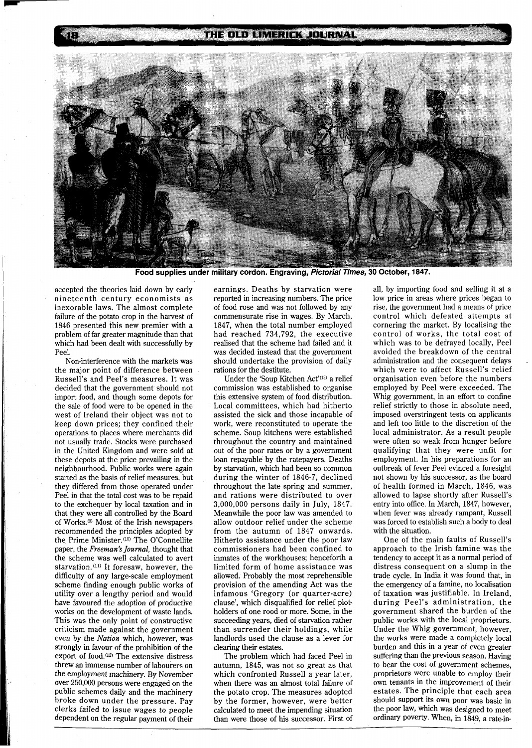THE OLD LIMERICK JOURNAL



Food supplies under military cordon. Engraving, Pictorial Times, 30 October, 1847.

accepted the theories laid down by early nineteenth century economists as inexorable laws. The almost complete failure of the potato crop in the harvest of 1846 presented this new premier with a problem of far greater magnitude than that which had been dealt with successfully by Peel.

Non-interference with the markets was the major point of difference between Russell's and Peel's measures. It was decided that the government should not import food, and though some depots for the sale of food were to be opened in the west of Ireland their object was not to keep down prices; they confined their operations to places where merchants did not usually trade. Stocks were purchased in the United Kingdom and were sold at these depots at the price prevailing in the neighbourhood. Public works were again started as the basis of relief measures, but they differed from those operated under Peel in that the total cost was to be repaid to the exchequer by local taxation and in that they were all controlled by the Board of Works.<sup>(9)</sup> Most of the Irish newspapers recommended the principles adopted by the Prime Minister.<sup>(10)</sup> The O'Connellite paper, the *Freeman's Journal,* thought that the scheme was well calculated to avert starvation.<sup>(11)</sup> It foresaw, however, the difficulty of any large-scale employment scheme finding enough public works of utility over a lengthy period and would have favoured the adoption of productive works on the development of waste lands. This was the only point of constructive criticism made against the government even by the *Nation* which, however, was strongly in favour of the prohibition of the export of food.<sup>(12)</sup> The extensive distress threw an immense number of labourers on the employment machinery. By November over 250,000 persons were engaged on the public schemes daily and the machinery broke down under the pressure. Pay clerks failed to issue wages to people dependent on the regular payment of their

earnings. Deaths by starvation were reported in increasing numbers. The price of food rose and was not followed by any commensurate rise in wages. By March, 1847, when the total number employed had reached 734,792, the executive realised that the scheme had failed and it was decided instead that the government should undertake the provision of daily rations for the destitute.

Under the 'Soup Kitchen Act'(13) a relief commission was established to organise this extensive system of food distribution. Local committees, which had hitherto assisted the sick and those incapable of work, were reconstituted to operate the scheme. Soup kitchens were established throughout the country and maintained out of the poor rates or by a government loan repayable by the ratepayers. Deaths by starvation, which had been so common during the winter of 1846-7, declined throughout the late spring and summer, and rations were distributed to over 3,000,000 persons daily in July, 1847. Meanwhile the poor law was amended to allow outdoor relief under the scheme from the autumn of 1847 onwards. Hitherto assistance under the poor law commissioners had been confined to inmates of the workhouses; henceforth a limited form of home assistance was allowed. Probably the most reprehensible provision of the amending Act was the infamous 'Gregory (or quarter-acre) clause', which disqualified for relief plotholders of one rood or more. Some, in the succeeding years, died of starvation rather than surrender their holdings, while landlords used the clause as a lever for clearing their estates.

The problem which had faced Peel in autumn, 1845, was not so great as that which confronted Russell a year later, when there was an almost total failure of the potato crop. The measures adopted by the former, however, were better calculated to meet the impending situation than were those of his successor. First of

all, by importing food and selling it at a low price in areas where prices began to rise, the government had a means of price control which defeated attempts at cornering the market. By localising the control of works, the total cost of which was to be defrayed locally, Peel avoided the breakdown of the central administration and the consequent delays which were to affect Russell's relief organisation even before the numbers employed by Peel were exceeded. The Whig government, in an effort to confine relief strictly to those in absolute need, imposed overstringent tests on applicants and left too little to the discretion of the local administrator. As a result people were often so weak from hunger before qualifying that they were unfit for employment. In his preparations for an outbreak of fever Peel evinced a foresight not shown by his successor, as the board of health formed in March, 1846, was allowed to lapse shortly after Russell's entry into office. In March, 1847, however, when fever was already rampant, Russell was forced to establish such a body to deal with the situation.

One of the main faults of Russell's approach to the Irish famine was the tendency to accept it as a normal period of distress consequent on a slump in the trade cycle. In India it was found that, in the emergency of a famine, no localisation of taxation was justifiable. In Ireland, during Peel's administration, the government shared the burden of the public works with the local proprietors. Under the Whig government, however, the works were made a completely local burden and this in a year of even greater suffering than the previous season. Having to bear the cost of government schemes, proprietors were unable to employ their own tenants in the improvement of their estates. The principle that each area should support its own poor was basic in the poor law, which was designed to meet ordinary poverty. When, in 1849, a rate-in-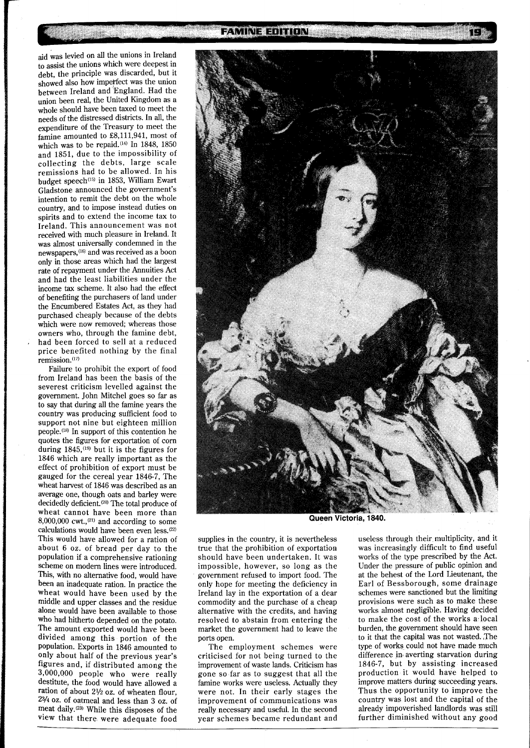aid was levied on all the unions in Ireland to assist the unions which were deepest in debt, the principle was discarded, but it showed also how imperfect was the union between Ireland and England. Had the union been real, the United Kingdom as a whole should have been taxed to meet the needs of the distressed districts. In all, the expenditure of the Treasury to meet the famine amounted to 28,111,941, most of which was to be repaid.<sup>(14)</sup> In 1848, 1850 and 1851, due to the impossibility of collecting the debts, large scale remissions had to be allowed. In his budget speech<sup>(15)</sup> in 1853, William Ewart Gladstone announced the government's intention to remit the debt on the whole country, and to impose instead duties on spirits and to extend the income tax to Ireland. This announcement was not received with much pleasure in Ireland. It was almost universally condemned in the newspapers,<sup>(16)</sup> and was received as a boon only in those areas which had the largest rate of repayment under the Annuities Act and had the least liabilities under the income tax scheme. It also had the effect of benefiting the purchasers of land under the Encumbered Estates Act, as they had purchased cheaply because of the debts which were now removed; whereas those owners who, through the famine debt, had been forced to sell at a reduced price benefited nothing by the final remission.<sup>(17)</sup>

Failure to prohibit the export of food from Ireland has been the basis of the severest criticism levelled against the government. John Mitchel goes so far as to say that during all the famine years the country was producing sufficient food to support not nine but eighteen million people.(18) In support of this contention he quotes the figures for exportation of corn during  $1845$ ,  $(19)$  but it is the figures for 1846 which are really important as the effect of prohibition of export must be gauged for the cereal year 1846-7, The wheat harvest of 1846 was described as an average one, though oats and barley were decidedly deficient.<sup>(20)</sup> The total produce of wheat cannot have been more than  $8,000,000$  cwt.,<sup>(21)</sup> and according to some calculations would have been even less.<sup>(22)</sup> This would have allowed for a ration of about 6 oz. of bread per day to the population if a comprehensive rationing scheme on modem lines were introduced. This, with no alternative food, would have been an inadequate ration. In practice the wheat would have been used by the middle and upper classes and the residue alone would have been available to those who had hitherto depended on the potato. The amount exported would have been divided among this portion of the population. Exports in 1846 amounted to only about half of the previous year's figures and, if distributed among the 3,000,000 people who were really destitute, the food would have allowed a ration of about  $2\frac{1}{2}$  oz. of wheaten flour, **23/4** OZ. of oatmeal and less than 3 oz. of meat daily. $(23)$  While this disposes of the view that there were adequate food



**FAMINE EDITION** 



Queen Victoria, 1840.

supplies in the country, it is nevertheless true that the prohibition of exportation should have been undertaken. It was impossible, however, so long as the government refused to import food. The only hope for meeting the deficiency in Ireland lay in the exportation of a dear commodity and the purchase of a cheap alternative with the credits, and having resolved to abstain from entering the market the government had to leave the ports open.

The employment schemes were criticised for not being turned to the improvement of waste lands. Criticism has gone so far as to suggest that all the famine works were useless. Actually they were not. In their early stages the improvement of communications was really necessary and useful. In the second year schemes became redundant and useless through their multiplicity, and it was increasingly difficult to find useful works of the type prescribed by the Act. Under the pressure of public opinion and at the behest of the Lord Lieutenant, the Earl of Bessborough, some drainage schemes were sanctioned but the limiting provisions were such as to make these works almost negligible. Having decided to make the cost of the works a local burden, the government should have seen to it that the capital was not wasted. ,The type of works could not have made much difference in averting starvation during 1846-7, but by assisting increased production it would have helped to improve matters during succeeding years. Thus the opportunity to improve the country was lost and the capital of the already impoverished landlords was still further diminished without any good